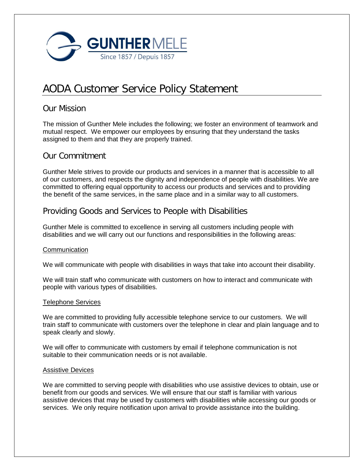

# AODA Customer Service Policy Statement

## Our Mission

The mission of Gunther Mele includes the following; we foster an environment of teamwork and mutual respect. We empower our employees by ensuring that they understand the tasks assigned to them and that they are properly trained.

## Our Commitment

Gunther Mele strives to provide our products and services in a manner that is accessible to all of our customers, and respects the dignity and independence of people with disabilities. We are committed to offering equal opportunity to access our products and services and to providing the benefit of the same services, in the same place and in a similar way to all customers.

# Providing Goods and Services to People with Disabilities

Gunther Mele is committed to excellence in serving all customers including people with disabilities and we will carry out our functions and responsibilities in the following areas:

## Communication

We will communicate with people with disabilities in ways that take into account their disability.

We will train staff who communicate with customers on how to interact and communicate with people with various types of disabilities.

## Telephone Services

We are committed to providing fully accessible telephone service to our customers. We will train staff to communicate with customers over the telephone in clear and plain language and to speak clearly and slowly.

We will offer to communicate with customers by email if telephone communication is not suitable to their communication needs or is not available.

## Assistive Devices

We are committed to serving people with disabilities who use assistive devices to obtain, use or benefit from our goods and services. We will ensure that our staff is familiar with various assistive devices that may be used by customers with disabilities while accessing our goods or services. We only require notification upon arrival to provide assistance into the building.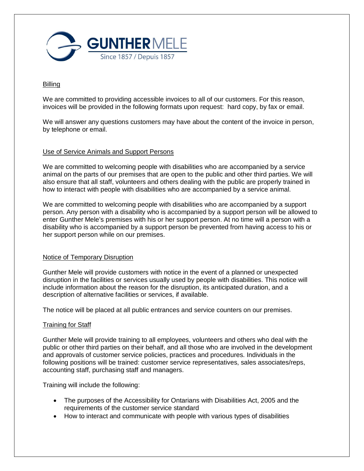

#### Billing

We are committed to providing accessible invoices to all of our customers. For this reason, invoices will be provided in the following formats upon request: hard copy, by fax or email.

We will answer any questions customers may have about the content of the invoice in person, by telephone or email.

#### Use of Service Animals and Support Persons

We are committed to welcoming people with disabilities who are accompanied by a service animal on the parts of our premises that are open to the public and other third parties. We will also ensure that all staff, volunteers and others dealing with the public are properly trained in how to interact with people with disabilities who are accompanied by a service animal.

We are committed to welcoming people with disabilities who are accompanied by a support person. Any person with a disability who is accompanied by a support person will be allowed to enter Gunther Mele's premises with his or her support person. At no time will a person with a disability who is accompanied by a support person be prevented from having access to his or her support person while on our premises.

#### Notice of Temporary Disruption

Gunther Mele will provide customers with notice in the event of a planned or unexpected disruption in the facilities or services usually used by people with disabilities. This notice will include information about the reason for the disruption, its anticipated duration, and a description of alternative facilities or services, if available.

The notice will be placed at all public entrances and service counters on our premises.

#### Training for Staff

Gunther Mele will provide training to all employees, volunteers and others who deal with the public or other third parties on their behalf, and all those who are involved in the development and approvals of customer service policies, practices and procedures. Individuals in the following positions will be trained: customer service representatives, sales associates/reps, accounting staff, purchasing staff and managers.

Training will include the following:

- The purposes of the Accessibility for Ontarians with Disabilities Act, 2005 and the requirements of the customer service standard
- How to interact and communicate with people with various types of disabilities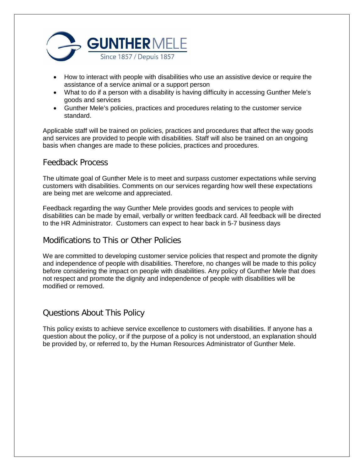

- How to interact with people with disabilities who use an assistive device or require the assistance of a service animal or a support person
- What to do if a person with a disability is having difficulty in accessing Gunther Mele's goods and services
- Gunther Mele's policies, practices and procedures relating to the customer service standard.

Applicable staff will be trained on policies, practices and procedures that affect the way goods and services are provided to people with disabilities. Staff will also be trained on an ongoing basis when changes are made to these policies, practices and procedures.

## Feedback Process

The ultimate goal of Gunther Mele is to meet and surpass customer expectations while serving customers with disabilities. Comments on our services regarding how well these expectations are being met are welcome and appreciated.

Feedback regarding the way Gunther Mele provides goods and services to people with disabilities can be made by email, verbally or written feedback card. All feedback will be directed to the HR Administrator. Customers can expect to hear back in 5-7 business days

## Modifications to This or Other Policies

We are committed to developing customer service policies that respect and promote the dignity and independence of people with disabilities. Therefore, no changes will be made to this policy before considering the impact on people with disabilities. Any policy of Gunther Mele that does not respect and promote the dignity and independence of people with disabilities will be modified or removed.

## Questions About This Policy

This policy exists to achieve service excellence to customers with disabilities. If anyone has a question about the policy, or if the purpose of a policy is not understood, an explanation should be provided by, or referred to, by the Human Resources Administrator of Gunther Mele.